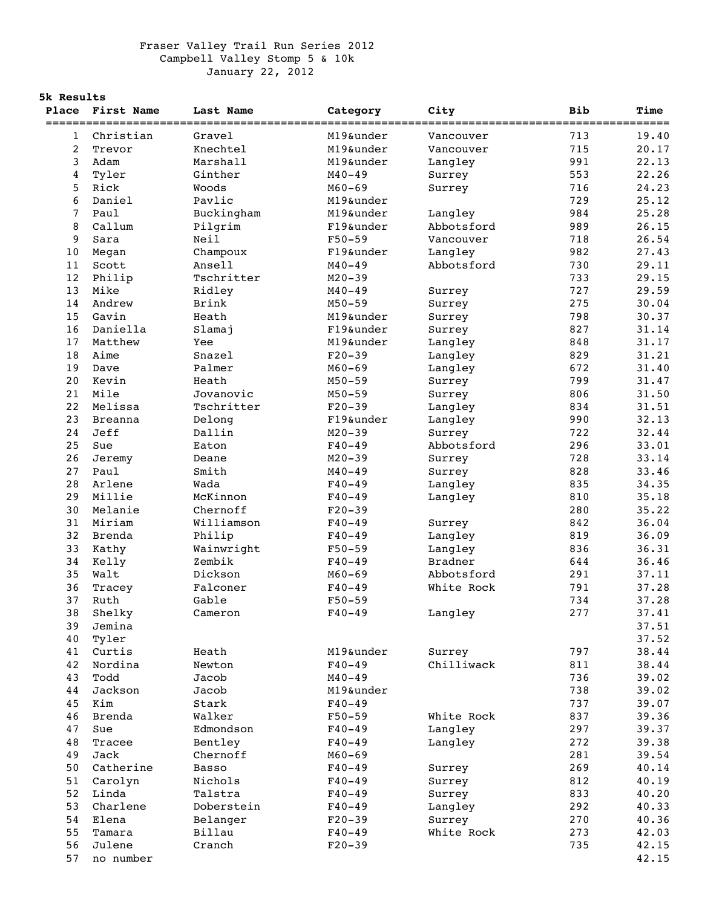## Fraser Valley Trail Run Series 2012 Campbell Valley Stomp 5 & 10k January 22, 2012

## **5k Results**

|                | Place First Name | Last Name    | Category   | City           | <b>Bib</b> | Time  |
|----------------|------------------|--------------|------------|----------------|------------|-------|
|                |                  |              |            |                |            |       |
| 1              | Christian        | Gravel       | M19&under  | Vancouver      | 713        | 19.40 |
| 2              | Trevor           | Knechtel     | M19&under  | Vancouver      | 715        | 20.17 |
| 3              | Adam             | Marshall     | M19&under  | Langley        | 991        | 22.13 |
| 4              | Tyler            | Ginther      | $M40 - 49$ | Surrey         | 553        | 22.26 |
| 5              | Rick             | Woods        | $M60 - 69$ | Surrey         | 716        | 24.23 |
| 6              | Daniel           | Pavlic       | M19&under  |                | 729        | 25.12 |
| $\overline{7}$ | Paul             | Buckingham   | M19&under  | Langley        | 984        | 25.28 |
| 8              | Callum           | Pilgrim      | F19&under  | Abbotsford     | 989        | 26.15 |
| 9              | Sara             | Neil         | $F50 - 59$ | Vancouver      | 718        | 26.54 |
| 10             | Megan            | Champoux     | F19&under  | Langley        | 982        | 27.43 |
| 11             | Scott            | Ansell       | $M40 - 49$ | Abbotsford     | 730        | 29.11 |
| $12$           | Philip           | Tschritter   | $M20 - 39$ |                | 733        | 29.15 |
| 13             | Mike             | Ridley       | $M40 - 49$ | Surrey         | 727        | 29.59 |
| 14             | Andrew           | Brink        | $M50 - 59$ | Surrey         | 275        | 30.04 |
| 15             | Gavin            | Heath        | M19&under  | Surrey         | 798        | 30.37 |
| 16             | Daniella         | Slamaj       | F19&under  | Surrey         | 827        | 31.14 |
| 17             | Matthew          | Yee          | M19&under  | Langley        | 848        | 31.17 |
| 18             | Aime             | Snazel       | $F20-39$   | Langley        | 829        | 31.21 |
| 19             | Dave             | Palmer       | $M60 - 69$ | Langley        | 672        | 31.40 |
| 20             | Kevin            | Heath        | $M50 - 59$ | Surrey         | 799        | 31.47 |
| 21             | Mile             | Jovanovic    | $M50 - 59$ | Surrey         | 806        | 31.50 |
| 22             | Melissa          | Tschritter   | $F20-39$   | Langley        | 834        | 31.51 |
| 23             | <b>Breanna</b>   | Delong       | F19&under  | Langley        | 990        | 32.13 |
| 24             | Jeff             | Dallin       | $M20 - 39$ | Surrey         | 722        | 32.44 |
| 25             | Sue              | Eaton        | $F40 - 49$ | Abbotsford     | 296        | 33.01 |
| 26             | Jeremy           | Deane        | $M20 - 39$ | Surrey         | 728        | 33.14 |
| 27             | Paul             | Smith        | $M40 - 49$ | Surrey         | 828        | 33.46 |
| 28             | Arlene           | Wada         | $F40 - 49$ | Langley        | 835        | 34.35 |
| 29             | Millie           | McKinnon     | $F40 - 49$ | Langley        | 810        | 35.18 |
| 30             | Melanie          | Chernoff     | $F20-39$   |                | 280        | 35.22 |
| 31             | Miriam           | Williamson   | $F40 - 49$ | Surrey         | 842        | 36.04 |
| 32             | <b>Brenda</b>    | Philip       | $F40 - 49$ | Langley        | 819        | 36.09 |
| 33             | Kathy            | Wainwright   | $F50 - 59$ | Langley        | 836        | 36.31 |
| 34             | Kelly            | Zembik       | $F40 - 49$ | <b>Bradner</b> | 644        | 36.46 |
|                |                  |              |            |                |            |       |
| 35<br>36       | Walt             | Dickson      | $M60 - 69$ | Abbotsford     | 291        | 37.11 |
|                | Tracey           | Falconer     | $F40 - 49$ | White Rock     | 791        | 37.28 |
| 37             | Ruth             | Gable        | $F50 - 59$ |                | 734        | 37.28 |
| 38             | Shelky           | Cameron      | $F40 - 49$ | Langley        | 277        | 37.41 |
| 39             | Jemina           |              |            |                |            | 37.51 |
| 40             | Tyler            |              |            |                |            | 37.52 |
| 41             | Curtis           | Heath        | M19&under  | Surrey         | 797        | 38.44 |
| 42             | Nordina          | Newton       | $F40 - 49$ | Chilliwack     | 811        | 38.44 |
| 43             | Todd             | Jacob        | $M40 - 49$ |                | 736        | 39.02 |
| 44             | Jackson          | Jacob        | M19&under  |                | 738        | 39.02 |
| 45             | Kim              | Stark        | $F40 - 49$ |                | 737        | 39.07 |
| 46             | <b>Brenda</b>    | Walker       | $F50 - 59$ | White Rock     | 837        | 39.36 |
| 47             | Sue              | Edmondson    | $F40 - 49$ | Langley        | 297        | 39.37 |
| 48             | Tracee           | Bentley      | $F40 - 49$ | Langley        | 272        | 39.38 |
| 49             | Jack             | Chernoff     | $M60 - 69$ |                | 281        | 39.54 |
| 50             | Catherine        | <b>Basso</b> | $F40 - 49$ | Surrey         | 269        | 40.14 |
| 51             | Carolyn          | Nichols      | $F40 - 49$ | Surrey         | 812        | 40.19 |
| 52             | Linda            | Talstra      | $F40 - 49$ | Surrey         | 833        | 40.20 |
| 53             | Charlene         | Doberstein   | $F40 - 49$ | Langley        | 292        | 40.33 |
| 54             | Elena            | Belanger     | $F20-39$   | Surrey         | 270        | 40.36 |
| 55             | Tamara           | Billau       | $F40 - 49$ | White Rock     | 273        | 42.03 |
| 56             | Julene           | Cranch       | $F20 - 39$ |                | 735        | 42.15 |
| 57             | no number        |              |            |                |            | 42.15 |